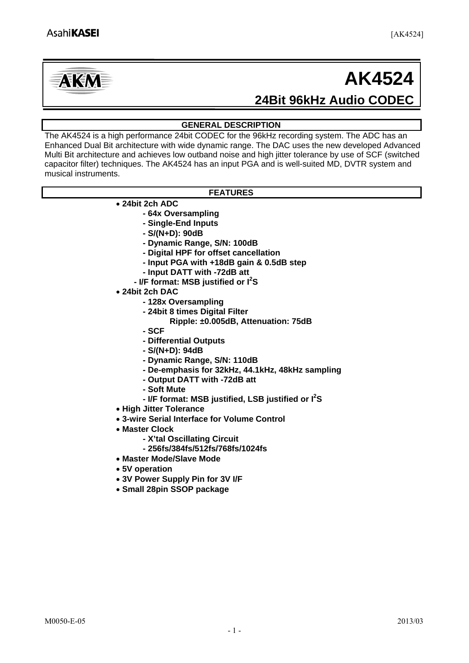

# **24Bit 96kHz Audio CODEC AK4524**

# **GENERAL DESCRIPTION**

The AK4524 is a high performance 24bit CODEC for the 96kHz recording system. The ADC has an Enhanced Dual Bit architecture with wide dynamic range. The DAC uses the new developed Advanced Multi Bit architecture and achieves low outband noise and high jitter tolerance by use of SCF (switched capacitor filter) techniques. The AK4524 has an input PGA and is well-suited MD, DVTR system and musical instruments.

## **FEATURES**

## • **24bit 2ch ADC**

- **64x Oversampling**
- **Single-End Inputs**
- **S/(N+D): 90dB**
- **Dynamic Range, S/N: 100dB**
- **Digital HPF for offset cancellation**
- **Input PGA with +18dB gain & 0.5dB step**
- **Input DATT with -72dB att**
- **I/F format: MSB justified or I2 S**
- • **24bit 2ch DAC** 
	- **128x Oversampling**
	- **24bit 8 times Digital Filter** 
		- **Ripple: ±0.005dB, Attenuation: 75dB**
	- **SCF**
	- **Differential Outputs**
	- **S/(N+D): 94dB**
	- **Dynamic Range, S/N: 110dB**
	- **De-emphasis for 32kHz, 44.1kHz, 48kHz sampling**
	- **Output DATT with -72dB att**
	- **Soft Mute**
- I/F format: MSB justified, LSB justified or I<sup>2</sup>S
- • **High Jitter Tolerance**
- • **3-wire Serial Interface for Volume Control**
- • **Master Clock** 
	- **X'tal Oscillating Circuit**
	- **256fs/384fs/512fs/768fs/1024fs**
- • **Master Mode/Slave Mode**
- • **5V operation**
- • **3V Power Supply Pin for 3V I/F**
- • **Small 28pin SSOP package**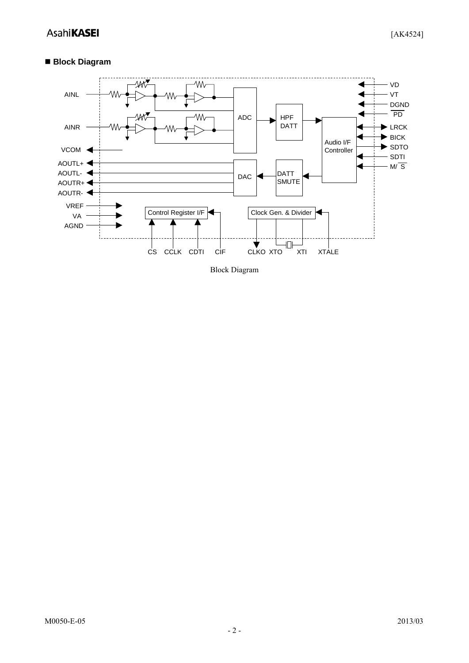# **Block Diagram**



Block Diagram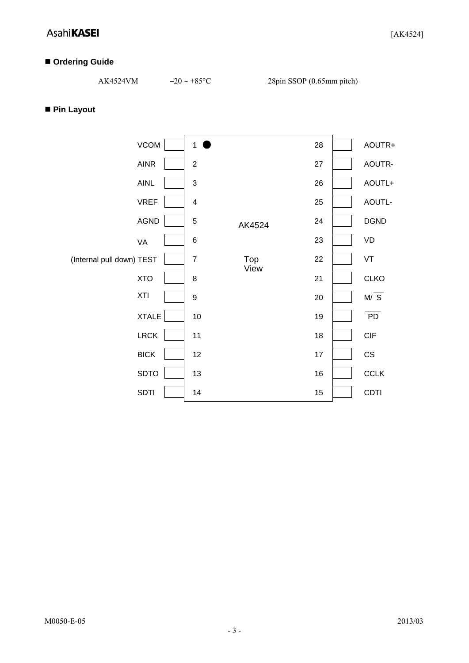## **Ordering Guide**

AK4524VM −20 ∼ +85°C 28pin SSOP (0.65mm pitch)

# **Pin Layout**

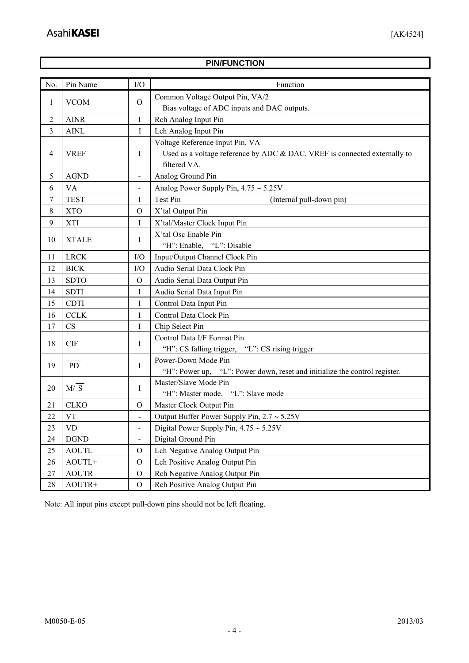|                | <b>PIN/FUNCTION</b>   |                          |                                                                            |  |  |  |
|----------------|-----------------------|--------------------------|----------------------------------------------------------------------------|--|--|--|
| No.            | Pin Name              | I/O                      | Function                                                                   |  |  |  |
|                |                       |                          | Common Voltage Output Pin, VA/2                                            |  |  |  |
| 1              | <b>VCOM</b>           | $\Omega$                 | Bias voltage of ADC inputs and DAC outputs.                                |  |  |  |
| $\overline{2}$ | <b>AINR</b>           | I                        | Rch Analog Input Pin                                                       |  |  |  |
| 3              | <b>AINL</b>           | $\mathbf{I}$             | Lch Analog Input Pin                                                       |  |  |  |
|                |                       |                          | Voltage Reference Input Pin, VA                                            |  |  |  |
| 4              | <b>VREF</b>           | I                        | Used as a voltage reference by ADC & DAC. VREF is connected externally to  |  |  |  |
|                |                       |                          | filtered VA.                                                               |  |  |  |
| 5              | <b>AGND</b>           | $\blacksquare$           | Analog Ground Pin                                                          |  |  |  |
| 6              | <b>VA</b>             | $\blacksquare$           | Analog Power Supply Pin, $4.75 \sim 5.25V$                                 |  |  |  |
| 7              | <b>TEST</b>           | I                        | <b>Test Pin</b><br>(Internal pull-down pin)                                |  |  |  |
| $8\,$          | <b>XTO</b>            | $\overline{O}$           | X'tal Output Pin                                                           |  |  |  |
| 9              | <b>XTI</b>            | I                        | X'tal/Master Clock Input Pin                                               |  |  |  |
|                |                       |                          | X'tal Osc Enable Pin                                                       |  |  |  |
| 10             | <b>XTALE</b>          | Ι                        | "H": Enable, "L": Disable                                                  |  |  |  |
| 11             | <b>LRCK</b>           | I/O                      | Input/Output Channel Clock Pin                                             |  |  |  |
| 12             | <b>BICK</b>           | I/O                      | Audio Serial Data Clock Pin                                                |  |  |  |
| 13             | <b>SDTO</b>           | $\Omega$                 | Audio Serial Data Output Pin                                               |  |  |  |
| 14             | <b>SDTI</b>           | I                        | Audio Serial Data Input Pin                                                |  |  |  |
| 15             | <b>CDTI</b>           | I                        | Control Data Input Pin                                                     |  |  |  |
| 16             | <b>CCLK</b>           | I                        | Control Data Clock Pin                                                     |  |  |  |
| 17             | CS                    | I                        | Chip Select Pin                                                            |  |  |  |
|                |                       |                          | Control Data I/F Format Pin                                                |  |  |  |
| 18             | <b>CIF</b>            | I                        | "H": CS falling trigger, "L": CS rising trigger                            |  |  |  |
| 19             | $\overline{PD}$       | I                        | Power-Down Mode Pin                                                        |  |  |  |
|                |                       |                          | "H": Power up, "L": Power down, reset and initialize the control register. |  |  |  |
| 20             | $M/\overline{S}$      | I                        | Master/Slave Mode Pin                                                      |  |  |  |
|                |                       |                          | "H": Master mode, "L": Slave mode                                          |  |  |  |
| 21             | <b>CLKO</b>           | $\Omega$                 | Master Clock Output Pin                                                    |  |  |  |
| 22             | <b>VT</b>             | $\overline{\phantom{0}}$ | Output Buffer Power Supply Pin, $2.7 \sim 5.25V$                           |  |  |  |
| 23             | <b>VD</b>             | $\blacksquare$           | Digital Power Supply Pin, $4.75 \sim 5.25V$                                |  |  |  |
| 24             | $\operatorname{DGND}$ | $\overline{\phantom{0}}$ | Digital Ground Pin                                                         |  |  |  |
| 25             | AOUTL-                | $\mathcal{O}$            | Lch Negative Analog Output Pin                                             |  |  |  |
| 26             | $AOUTL+$              | $\overline{O}$           | Lch Positive Analog Output Pin                                             |  |  |  |
| 27             | AOUTR-                | $\mathcal{O}$            | Rch Negative Analog Output Pin                                             |  |  |  |
| 28             | AOUTR+                | $\mathcal{O}$            | Rch Positive Analog Output Pin                                             |  |  |  |

Note: All input pins except pull-down pins should not be left floating.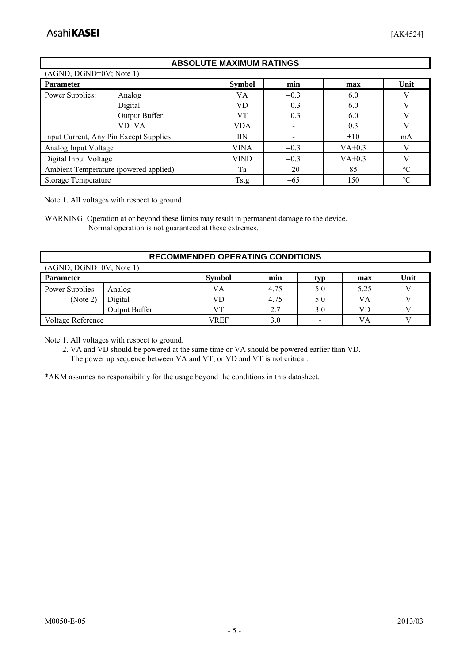|                                       | <b>ABSOLUTE MAXIMUM RATINGS</b>        |               |        |          |                 |  |  |  |  |  |
|---------------------------------------|----------------------------------------|---------------|--------|----------|-----------------|--|--|--|--|--|
| $(AGND, DGND=0V; Note 1)$             |                                        |               |        |          |                 |  |  |  |  |  |
| <b>Parameter</b>                      |                                        | <b>Symbol</b> | min    | max      | Unit            |  |  |  |  |  |
| Power Supplies:                       | Analog                                 | VA            | $-0.3$ | 6.0      | V               |  |  |  |  |  |
|                                       | Digital                                | VD            | $-0.3$ | 6.0      | V               |  |  |  |  |  |
|                                       | Output Buffer                          | VT            | $-0.3$ | 6.0      | V               |  |  |  |  |  |
|                                       | VD-VA                                  | <b>VDA</b>    |        | 0.3      | V               |  |  |  |  |  |
|                                       | Input Current, Any Pin Except Supplies |               |        | $\pm 10$ | mA              |  |  |  |  |  |
| Analog Input Voltage                  |                                        | <b>VINA</b>   | $-0.3$ | $VA+0.3$ | V               |  |  |  |  |  |
| Digital Input Voltage                 |                                        | <b>VIND</b>   | $-0.3$ | $VA+0.3$ | V               |  |  |  |  |  |
| Ambient Temperature (powered applied) |                                        | Ta            | $-20$  | 85       | $\rm ^{\circ}C$ |  |  |  |  |  |
| <b>Storage Temperature</b>            |                                        | Tstg          | $-65$  | 150      | $\rm ^{\circ}C$ |  |  |  |  |  |

Note: 1. All voltages with respect to ground.

WARNING: Operation at or beyond these limits may result in permanent damage to the device. Normal operation is not guaranteed at these extremes.

|                         | <b>RECOMMENDED OPERATING CONDITIONS</b> |               |      |     |      |      |  |  |  |  |
|-------------------------|-----------------------------------------|---------------|------|-----|------|------|--|--|--|--|
| (AGND, DGND=0V; Note 1) |                                         |               |      |     |      |      |  |  |  |  |
| <b>Parameter</b>        |                                         | <b>Symbol</b> | min  | typ | max  | Unit |  |  |  |  |
| Power Supplies          | Analog                                  | VA            | 4.75 | 5.0 | 5.25 |      |  |  |  |  |
| (Note 2)                | Digital                                 | VD            | 4.75 | 5.0 | VA   |      |  |  |  |  |
|                         | Output Buffer                           | VT            | 2.7  | 3.0 | VD   |      |  |  |  |  |
| Voltage Reference       |                                         | VREF          | 3.0  |     | VA   |      |  |  |  |  |

Note: 1. All voltages with respect to ground.

2. VA and VD should be powered at the same time or VA should be powered earlier than VD. The power up sequence between VA and VT, or VD and VT is not critical.

\*AKM assumes no responsibility for the usage beyond the conditions in this datasheet.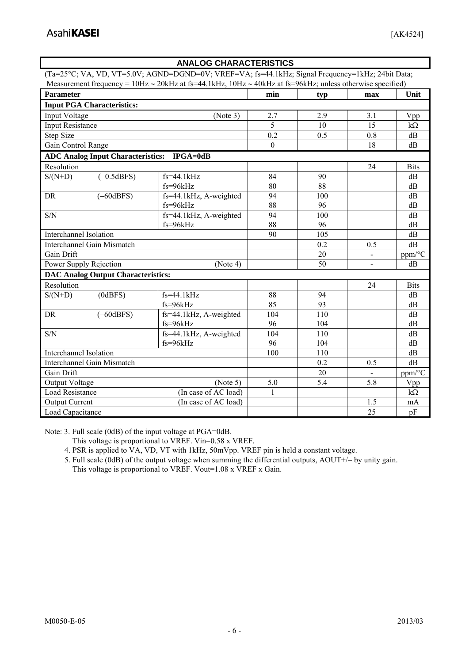$\mathbf I$ 

|                         |                                                   | (Ta=25°C; VA, VD, VT=5.0V; AGND=DGND=0V; VREF=VA; fs=44.1kHz; Signal Frequency=1kHz; 24bit Data;                    |                  |     |     |                                   |
|-------------------------|---------------------------------------------------|---------------------------------------------------------------------------------------------------------------------|------------------|-----|-----|-----------------------------------|
| <b>Parameter</b>        |                                                   | Measurement frequency = $10Hz \sim 20kHz$ at fs=44.1kHz, $10Hz \sim 40kHz$ at fs=96kHz; unless otherwise specified) | min              | typ | max | Unit                              |
|                         | <b>Input PGA Characteristics:</b>                 |                                                                                                                     |                  |     |     |                                   |
| Input Voltage           |                                                   | (Note 3)                                                                                                            | 2.7              | 2.9 | 3.1 | Vpp                               |
| <b>Input Resistance</b> |                                                   |                                                                                                                     | 5                | 10  | 15  | $k\Omega$                         |
| <b>Step Size</b>        |                                                   |                                                                                                                     | 0.2              | 0.5 | 0.8 | dB                                |
| Gain Control Range      |                                                   |                                                                                                                     | $\boldsymbol{0}$ |     | 18  | dB                                |
|                         | <b>ADC Analog Input Characteristics: IPGA=0dB</b> |                                                                                                                     |                  |     |     |                                   |
| Resolution              |                                                   |                                                                                                                     |                  |     | 24  | <b>Bits</b>                       |
| $S/(N+D)$               | $(-0.5dBFS)$                                      | $fs = 44.1kHz$                                                                                                      | 84               | 90  |     | dB                                |
|                         |                                                   | $fs = 96kHz$                                                                                                        | 80               | 88  |     | dB                                |
| DR                      | $(-60dBFS)$                                       | fs=44.1kHz, A-weighted                                                                                              | 94               | 100 |     | dB                                |
|                         |                                                   | $fs = 96kHz$                                                                                                        | 88               | 96  |     | dB                                |
| S/N                     |                                                   | fs=44.1kHz, A-weighted                                                                                              | 94               | 100 |     | dB                                |
|                         |                                                   | $fs = 96kHz$                                                                                                        | 88               | 96  |     | dB                                |
| Interchannel Isolation  |                                                   |                                                                                                                     | 90               | 105 |     | dB                                |
|                         | <b>Interchannel Gain Mismatch</b>                 |                                                                                                                     |                  | 0.2 | 0.5 | dB                                |
| Gain Drift              |                                                   |                                                                                                                     |                  | 20  |     | $ppm/\sqrt{\text{C}}$             |
| Power Supply Rejection  |                                                   | (Note 4)                                                                                                            |                  | 50  |     | dB                                |
|                         | <b>DAC Analog Output Characteristics:</b>         |                                                                                                                     |                  |     |     |                                   |
| Resolution              |                                                   |                                                                                                                     |                  |     | 24  | <b>Bits</b>                       |
| $S/(N+D)$               | (0dBFS)                                           | $fs = 44.1kHz$                                                                                                      | 88               | 94  |     | dB                                |
|                         |                                                   | fs=96kHz                                                                                                            | 85               | 93  |     | dB                                |
| DR                      | $(-60dBFS)$                                       | fs=44.1kHz, A-weighted                                                                                              | 104              | 110 |     | dB                                |
|                         |                                                   | $fs = 96kHz$                                                                                                        | 96               | 104 |     | dB                                |
| S/N                     |                                                   | fs=44.1kHz, A-weighted                                                                                              | 104              | 110 |     | dB                                |
|                         |                                                   | fs=96kHz                                                                                                            | 96               | 104 |     | dB                                |
| Interchannel Isolation  |                                                   |                                                                                                                     | 100              | 110 |     | dB                                |
|                         | Interchannel Gain Mismatch                        |                                                                                                                     |                  | 0.2 | 0.5 | dB                                |
| Gain Drift              |                                                   |                                                                                                                     |                  | 20  |     | $ppm$ <sup>o</sup> $\overline{C}$ |
| <b>Output Voltage</b>   |                                                   | (Note 5)                                                                                                            | 5.0              | 5.4 | 5.8 | Vpp                               |
| <b>Load Resistance</b>  |                                                   | (In case of AC load)                                                                                                | 1                |     |     | $k\Omega$                         |
| <b>Output Current</b>   |                                                   | (In case of AC load)                                                                                                |                  |     | 1.5 | mA                                |
| Load Capacitance        |                                                   |                                                                                                                     |                  |     | 25  | pF                                |

**ANALOG CHARACTERISTICS** 

Note: 3. Full scale (0dB) of the input voltage at PGA=0dB. This voltage is proportional to VREF. Vin=0.58 x VREF.

4. PSR is applied to VA, VD, VT with 1kHz, 50mVpp. VREF pin is held a constant voltage.

5. Full scale (0dB) of the output voltage when summing the differential outputs, AOUT+/− by unity gain.

This voltage is proportional to VREF. Vout=1.08 x VREF x Gain.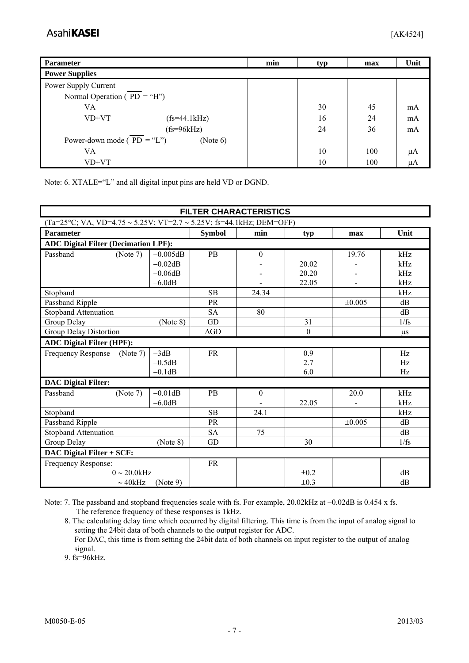| Parameter                                  | min | typ | max | Unit    |
|--------------------------------------------|-----|-----|-----|---------|
| <b>Power Supplies</b>                      |     |     |     |         |
| Power Supply Current                       |     |     |     |         |
| Normal Operation ( $PD = "H"$ )            |     |     |     |         |
| VA.                                        |     | 30  | 45  | mA      |
| $VD+VT$<br>$(fs=44.1kHz)$                  |     | 16  | 24  | mA      |
| $(fs=96kHz)$                               |     | 24  | 36  | mA      |
| Power-down mode ( $PD = "L"$ )<br>(Note 6) |     |     |     |         |
| VA.                                        |     | 10  | 100 | μA      |
| $VD+VT$                                    |     | 10  | 100 | $\mu A$ |

Note: 6. XTALE="L" and all digital input pins are held VD or DGND.

| <b>FILTER CHARACTERISTICS</b>                                       |                |               |                  |           |                |      |  |  |  |
|---------------------------------------------------------------------|----------------|---------------|------------------|-----------|----------------|------|--|--|--|
| (Ta=25°C; VA, VD=4.75 ~ 5.25V; VT=2.7 ~ 5.25V; fs=44.1kHz; DEM=OFF) |                |               |                  |           |                |      |  |  |  |
| <b>Parameter</b>                                                    |                | <b>Symbol</b> | min              | typ       | max            | Unit |  |  |  |
| <b>ADC Digital Filter (Decimation LPF):</b>                         |                |               |                  |           |                |      |  |  |  |
| (Note 7)<br>Passband                                                | $-0.005dB$     | PB            | $\mathbf{0}$     |           | 19.76          | kHz  |  |  |  |
|                                                                     | $-0.02dB$      |               |                  | 20.02     |                | kHz  |  |  |  |
|                                                                     | $-0.06dB$      |               |                  | 20.20     | $\blacksquare$ | kHz  |  |  |  |
|                                                                     | $-6.0dB$       |               |                  | 22.05     |                | kHz  |  |  |  |
| Stopband                                                            |                | <b>SB</b>     | 24.34            |           |                | kHz  |  |  |  |
| Passband Ripple                                                     |                | PR            |                  |           | ±0.005         | dB   |  |  |  |
| Stopband Attenuation                                                |                | <b>SA</b>     | 80               |           |                | dB   |  |  |  |
| Group Delay                                                         | GD             |               | 31               |           | 1/fs           |      |  |  |  |
| Group Delay Distortion                                              | $\triangle$ GD |               | $\theta$         |           | $\mu$ s        |      |  |  |  |
| <b>ADC Digital Filter (HPF):</b>                                    |                |               |                  |           |                |      |  |  |  |
| Frequency Response<br>(Note 7)                                      | $-3dB$         | <b>FR</b>     |                  | 0.9       |                | Hz   |  |  |  |
|                                                                     | $-0.5dB$       |               |                  | 2.7       |                | Hz   |  |  |  |
|                                                                     | $-0.1dB$       |               |                  | 6.0       |                | Hz   |  |  |  |
| <b>DAC Digital Filter:</b>                                          |                |               |                  |           |                |      |  |  |  |
| Passband<br>(Note 7)                                                | $-0.01dB$      | PB            | $\boldsymbol{0}$ |           | 20.0           | kHz  |  |  |  |
|                                                                     | $-6.0dB$       |               |                  | 22.05     |                | kHz  |  |  |  |
| Stopband                                                            |                | SB            | 24.1             |           |                | kHz  |  |  |  |
| Passband Ripple                                                     |                | PR            |                  |           | ±0.005         | dB   |  |  |  |
| Stopband Attenuation                                                |                | <b>SA</b>     | 75               |           |                | dB   |  |  |  |
| Group Delay                                                         | (Note 8)       | GD            |                  | 30        |                | 1/fs |  |  |  |
| DAC Digital Filter + SCF:                                           |                |               |                  |           |                |      |  |  |  |
| Frequency Response:                                                 |                | <b>FR</b>     |                  |           |                |      |  |  |  |
| $0 \sim 20.0$ kHz                                                   |                |               |                  | $\pm 0.2$ |                | dB   |  |  |  |
| $\sim$ 40kHz                                                        | (Note 9)       |               |                  | $\pm 0.3$ |                | dB   |  |  |  |

Note: 7. The passband and stopband frequencies scale with fs. For example, 20.02kHz at −0.02dB is 0.454 x fs. The reference frequency of these responses is 1kHz.

 8. The calculating delay time which occurred by digital filtering. This time is from the input of analog signal to setting the 24bit data of both channels to the output register for ADC. For DAC, this time is from setting the 24bit data of both channels on input register to the output of analog signal.

9. fs=96kHz.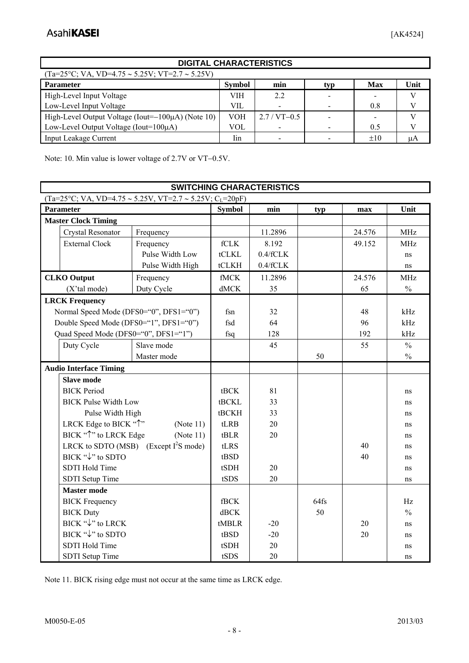| <b>DIGITAL CHARACTERISTICS</b>                                |               |                  |     |                          |      |  |  |  |  |
|---------------------------------------------------------------|---------------|------------------|-----|--------------------------|------|--|--|--|--|
| $(Ta=25\degree C; VA, VD=4.75 \sim 5.25V; VT=2.7 \sim 5.25V)$ |               |                  |     |                          |      |  |  |  |  |
| <b>Parameter</b>                                              | <b>Symbol</b> | min              | typ | <b>Max</b>               | Unit |  |  |  |  |
| High-Level Input Voltage                                      | VIH           | 2.2              |     | $\overline{\phantom{0}}$ |      |  |  |  |  |
| Low-Level Input Voltage                                       | VIL           |                  |     | 0.8                      |      |  |  |  |  |
| High-Level Output Voltage (Iout= $-100\mu$ A) (Note 10)       | VOH           | $2.7 / VT - 0.5$ |     | $\overline{\phantom{0}}$ |      |  |  |  |  |
| Low-Level Output Voltage (Iout= $100\mu$ A)                   | VOL           |                  |     | 0.5                      |      |  |  |  |  |
| <b>Input Leakage Current</b>                                  | Iin           |                  |     | $\pm 10$                 | μA   |  |  |  |  |

Note: 10. Min value is lower voltage of 2.7V or VT−0.5V.

|                                                 | <b>SWITCHING CHARACTERISTICS</b> |                                                                        |               |             |     |        |               |
|-------------------------------------------------|----------------------------------|------------------------------------------------------------------------|---------------|-------------|-----|--------|---------------|
|                                                 |                                  | $(Ta=25\degree C; VA, VD=4.75 \sim 5.25V, VT=2.7 \sim 5.25V; CL=20pF)$ |               |             |     |        |               |
| <b>Parameter</b>                                |                                  |                                                                        | <b>Symbol</b> | min         | typ | max    | Unit          |
| <b>Master Clock Timing</b>                      |                                  |                                                                        |               |             |     |        |               |
|                                                 | Crystal Resonator                | Frequency                                                              |               | 11.2896     |     | 24.576 | <b>MHz</b>    |
| <b>External Clock</b>                           |                                  | Frequency                                                              | fCLK          | 8.192       |     | 49.152 | <b>MHz</b>    |
|                                                 |                                  | Pulse Width Low                                                        | tCLKL         | $0.4$ /fCLK |     |        | ns            |
|                                                 |                                  | Pulse Width High                                                       | tCLKH         | $0.4$ /fCLK |     |        | ns            |
| <b>CLKO</b> Output                              |                                  | Frequency                                                              | <b>fMCK</b>   | 11.2896     |     | 24.576 | MHz.          |
| (X'tal mode)                                    |                                  | Duty Cycle                                                             | dMCK          | 35          |     | 65     | $\frac{0}{0}$ |
| <b>LRCK Frequency</b>                           |                                  |                                                                        |               |             |     |        |               |
|                                                 |                                  | Normal Speed Mode (DFS0="0", DFS1="0")                                 | fsn           | 32          |     | 48     | kHz           |
|                                                 |                                  | Double Speed Mode (DFS0="1", DFS1="0")                                 | fsd           | 64          |     | 96     | kHz           |
|                                                 |                                  | Quad Speed Mode (DFS0="0", DFS1="1")                                   | fsq           | 128         |     | 192    | kHz           |
| Duty Cycle                                      |                                  | Slave mode                                                             |               | 45          |     | 55     | $\frac{0}{0}$ |
|                                                 |                                  | Master mode                                                            |               |             | 50  |        | $\frac{0}{0}$ |
| <b>Audio Interface Timing</b>                   |                                  |                                                                        |               |             |     |        |               |
| <b>Slave mode</b>                               |                                  |                                                                        |               |             |     |        |               |
| <b>BICK Period</b>                              |                                  | tBCK                                                                   | 81            |             |     | ns     |               |
| <b>BICK Pulse Width Low</b>                     |                                  | tBCKL                                                                  | 33            |             |     | ns     |               |
| Pulse Width High                                |                                  | tBCKH                                                                  | 33            |             |     | ns     |               |
| LRCK Edge to BICK "^"<br>(Note 11)              |                                  | tLRB                                                                   | 20            |             |     | ns     |               |
| BICK " <sup>1</sup> " to LRCK Edge<br>(Note 11) |                                  | tBLR                                                                   | 20            |             |     | ns     |               |
|                                                 |                                  | LRCK to SDTO (MSB) (Except $I^2S$ mode)                                | tLRS          |             |     | 40     | ns            |
|                                                 | BICK "↓" to SDTO                 |                                                                        | tBSD          |             |     | 40     | ns            |
|                                                 | SDTI Hold Time                   |                                                                        | tSDH          | 20          |     |        | ns            |
|                                                 | <b>SDTI</b> Setup Time           |                                                                        | tSDS          | 20          |     |        | ns            |
| <b>Master mode</b>                              |                                  |                                                                        |               |             |     |        |               |
| <b>BICK Frequency</b>                           |                                  | <b>fBCK</b>                                                            |               | 64fs        |     | Hz     |               |
| <b>BICK Duty</b>                                |                                  |                                                                        | dBCK          |             | 50  |        | $\frac{0}{0}$ |
|                                                 | BICK "↓" to LRCK                 |                                                                        | tMBLR         | $-20$       |     | 20     | ns            |
|                                                 | BICK "↓" to SDTO                 |                                                                        | tBSD          | $-20$       |     | 20     | ns            |
|                                                 | <b>SDTI Hold Time</b>            |                                                                        | tSDH          | 20          |     |        | ns            |
|                                                 | SDTI Setup Time                  |                                                                        | tSDS          | 20          |     |        | ns            |

Note 11. BICK rising edge must not occur at the same time as LRCK edge.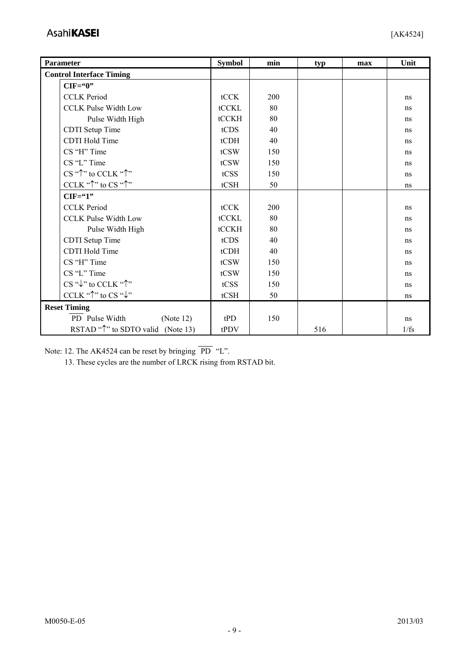# Asahi**KASEI** [AK4524]

| <b>Parameter</b>                             | <b>Symbol</b> | min | typ | max | Unit |
|----------------------------------------------|---------------|-----|-----|-----|------|
| <b>Control Interface Timing</b>              |               |     |     |     |      |
| $CIF=\mathcal{C}$                            |               |     |     |     |      |
| <b>CCLK Period</b>                           | tCCK          | 200 |     |     | ns   |
| <b>CCLK Pulse Width Low</b>                  | tCCKL         | 80  |     |     | ns   |
| Pulse Width High                             | tCCKH         | 80  |     |     | ns   |
| <b>CDTI</b> Setup Time                       | tCDS          | 40  |     |     | ns   |
| <b>CDTI Hold Time</b>                        | tCDH          | 40  |     |     | ns   |
| CS "H" Time                                  | tCSW          | 150 |     |     | ns   |
| CS "L" Time                                  | tCSW          | 150 |     |     | ns   |
| CS "^" to CCLK "^"                           | tCSS          | 150 |     |     | ns   |
| CCLK "^" to CS "^"                           | tCSH          | 50  |     |     | ns   |
| $CIF = '1$                                   |               |     |     |     |      |
| <b>CCLK</b> Period                           | tCCK          | 200 |     |     | ns   |
| <b>CCLK Pulse Width Low</b>                  | tCCKL         | 80  |     |     | ns   |
| Pulse Width High                             | tCCKH         | 80  |     |     | ns   |
| <b>CDTI</b> Setup Time                       | tCDS          | 40  |     |     | ns   |
| <b>CDTI Hold Time</b>                        | tCDH          | 40  |     |     | ns   |
| CS "H" Time                                  | tCSW          | 150 |     |     | ns   |
| CS "L" Time                                  | tCSW          | 150 |     |     | ns   |
| CS "↓" to CCLK "↑"                           | tCSS          | 150 |     |     | ns   |
| CCLK "↑" to CS "↓"                           | tCSH          | 50  |     |     | ns   |
| <b>Reset Timing</b>                          |               |     |     |     |      |
| PD Pulse Width<br>(Note 12)                  | tPD           | 150 |     |     | ns   |
| RSTAD " $\uparrow$ " to SDTO valid (Note 13) | tPDV          |     | 516 |     | 1/fs |

Note: 12. The AK4524 can be reset by bringing  $\overline{PD}$  "L".

13. These cycles are the number of LRCK rising from RSTAD bit.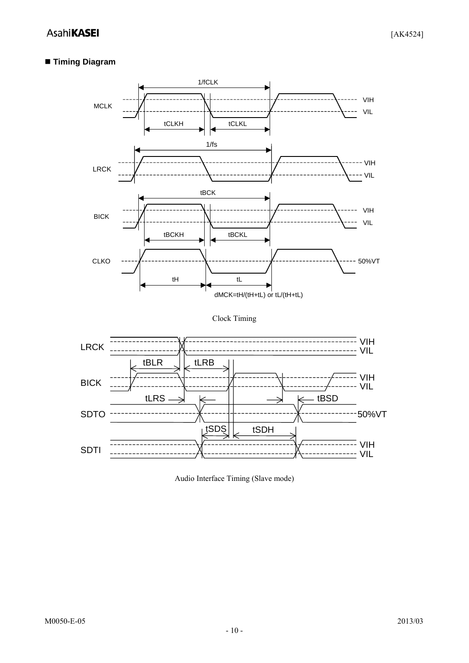# **Timing Diagram**



Audio Interface Timing (Slave mode)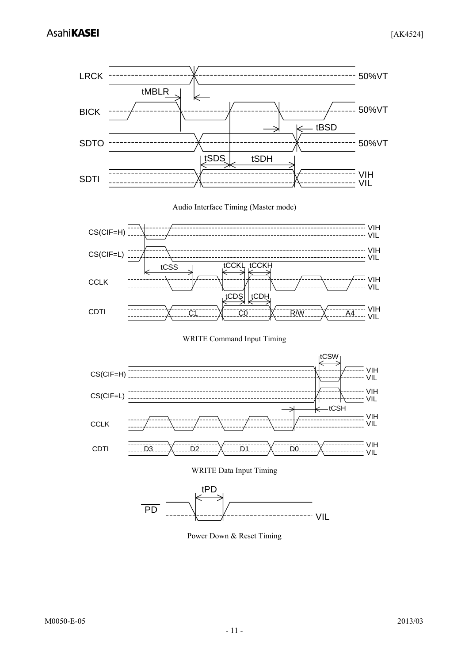[AK4524]



Power Down & Reset Timing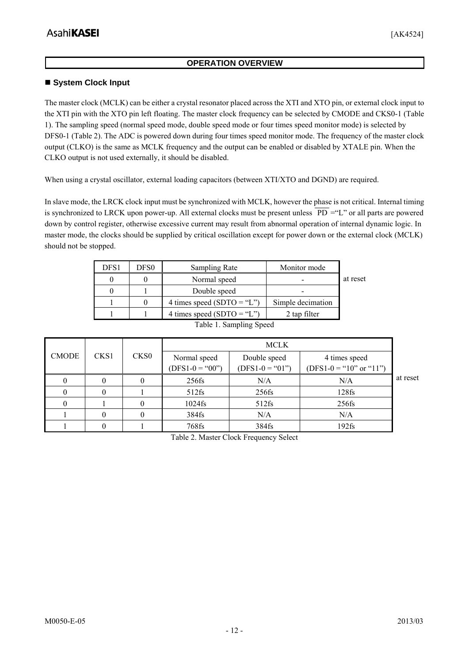## **OPERATION OVERVIEW**

## **System Clock Input**

The master clock (MCLK) can be either a crystal resonator placed across the XTI and XTO pin, or external clock input to the XTI pin with the XTO pin left floating. The master clock frequency can be selected by CMODE and CKS0-1 (Table 1). The sampling speed (normal speed mode, double speed mode or four times speed monitor mode) is selected by DFS0-1 (Table 2). The ADC is powered down during four times speed monitor mode. The frequency of the master clock output (CLKO) is the same as MCLK frequency and the output can be enabled or disabled by XTALE pin. When the CLKO output is not used externally, it should be disabled.

When using a crystal oscillator, external loading capacitors (between XTI/XTO and DGND) are required.

In slave mode, the LRCK clock input must be synchronized with MCLK, however the phase is not critical. Internal timing is synchronized to LRCK upon power-up. All external clocks must be present unless  $\overline{PD}$  = "L" or all parts are powered down by control register, otherwise excessive current may result from abnormal operation of internal dynamic logic. In master mode, the clocks should be supplied by critical oscillation except for power down or the external clock (MCLK) should not be stopped.

| Normal speed                 |                   | at reset |
|------------------------------|-------------------|----------|
|                              |                   |          |
| Double speed                 |                   |          |
| 4 times speed (SDTO = "L")   | Simple decimation |          |
| 4 times speed $(SOTO = "L")$ | 2 tap filter      |          |

|  |  |  |  | Table 1. Sampling Speed |
|--|--|--|--|-------------------------|
|--|--|--|--|-------------------------|

|              |      |                  | <b>MCLK</b>         |                     |                           |          |  |
|--------------|------|------------------|---------------------|---------------------|---------------------------|----------|--|
| <b>CMODE</b> | CKS1 | CKS <sub>0</sub> | Normal speed        | Double speed        | 4 times speed             |          |  |
|              |      |                  | $(DFS1 - 0 = "00")$ | $(DFS1 - 0 = "01")$ | $(DFS1-0 = "10" or "11")$ |          |  |
|              |      |                  | $256$ fs            | N/A                 | N/A                       | at reset |  |
|              |      |                  | $512$ fs            | $256$ fs            | $128$ fs                  |          |  |
| 0            |      |                  | 1024fs              | 512fs               | $256$ fs                  |          |  |
|              |      |                  | 384fs               | N/A                 | N/A                       |          |  |
|              |      |                  | 768fs               | 384fs               | $192$ fs                  |          |  |

Table 2. Master Clock Frequency Select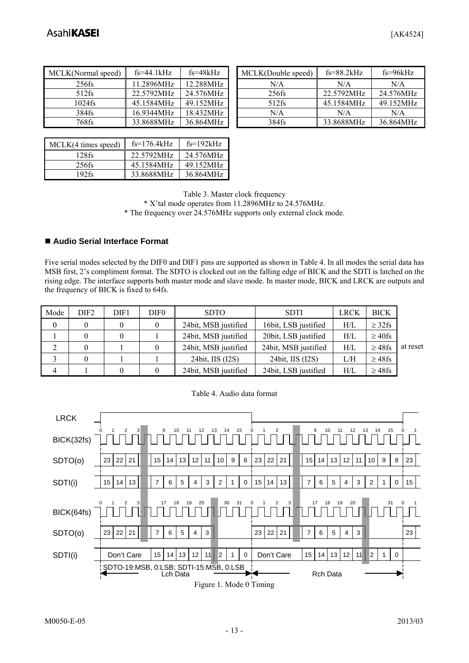| MCLK(Normal speed) | $fs = 44.1kHz$ | $fs = 48kHz$ | MCLK(Double speed) | $fs = 88.2kHz$ | $fs = 96kHz$ |
|--------------------|----------------|--------------|--------------------|----------------|--------------|
| $256$ fs           | 1.2896MHz      | 12.288MHz    | N/A                | N/A            | N/A          |
| $512$ fs           | 22.5792MHz     | 24.576MHz    | $256$ fs           | 22.5792MHz     | 24.576MHz    |
| $1024$ fs          | 45.1584MHz     | 49.152MHz    | $512$ fs           | 45.1584MHz     | 49.152MH     |
| 384fs              | 16.9344MHz     | 18.432MHz    | N/A                | N/A            | N/A          |
| 768fs              | 33.8688MHz     | 36.864MHz    | 384fs              | 33.8688MHz     | 36.864MHz    |
|                    |                |              |                    |                |              |

| Normal speed) | $fs=44.1kHz$ | $fs = 48kHz$ | MCLK(Double speed) | $fs = 88.2kHz$ | $fs = 96kHz$ |
|---------------|--------------|--------------|--------------------|----------------|--------------|
| 256fs         | 11.2896MHz   | 12.288MHz    | N/A                | N/A            | N/A          |
| 512fs         | 22.5792MHz   | 24.576MHz    | 256fs              | 22.5792MHz     | 24.576MHz    |
| $1024$ fs     | 45.1584MHz   | 49.152MHz    | 512fs              | 45.1584MHz     | 49.152MHz    |
| 384fs         | 16.9344MHz   | 18.432MHz    | N/A                | N/A            | N/A          |
| 768fs         | 33.8688MHz   | 36.864MHz    | 384fs              | 33.8688MHz     | 36.864MHz    |

| MCLK(4 times speed) | $fs=176.4kHz$ | $fs=192kHz$ |
|---------------------|---------------|-------------|
| 128fs               | 22.5792MHz    | 24.576MHz   |
| $256$ fs            | 45.1584MHz    | 49 152MHz   |
| 192fs               | 33.8688MHz    | 36 864MHz   |

Table 3. Master clock frequency \* X'tal mode operates from 11.2896MHz to 24.576MHz. \* The frequency over 24.576MHz supports only external clock mode.

## ■ Audio Serial Interface Format

Five serial modes selected by the DIF0 and DIF1 pins are supported as shown in Table 4. In all modes the serial data has MSB first, 2's compliment format. The SDTO is clocked out on the falling edge of BICK and the SDTI is latched on the rising edge. The interface supports both master mode and slave mode. In master mode, BICK and LRCK are outputs and the frequency of BICK is fixed to 64fs.

| Mode           | DIF <sub>2</sub> | DIF1 | DIF0 | <b>SDTO</b>          | <b>SDTI</b>           | <b>LRCK</b> | <b>BICK</b>  |          |
|----------------|------------------|------|------|----------------------|-----------------------|-------------|--------------|----------|
| $\bf{0}$       |                  |      | 0    | 24bit, MSB justified | 16bit, LSB justified  | H/L         | $\geq$ 32fs  |          |
|                |                  |      |      | 24bit, MSB justified | 20bit, LSB justified  | H/L         | $\geq 40$ fs |          |
|                |                  |      | 0    | 24bit, MSB justified | 24bit, MSB justified  | H/L         | $\geq 48$ fs | at reset |
|                |                  |      |      | 24 bit, IIS (I2S)    | 24 bit, IIS (I2S)     | L/H         | $\geq 48$ fs |          |
| $\overline{4}$ |                  |      | 0    | 24bit, MSB justified | 24 bit, LSB justified | H/I         | $\geq 48$ fs |          |



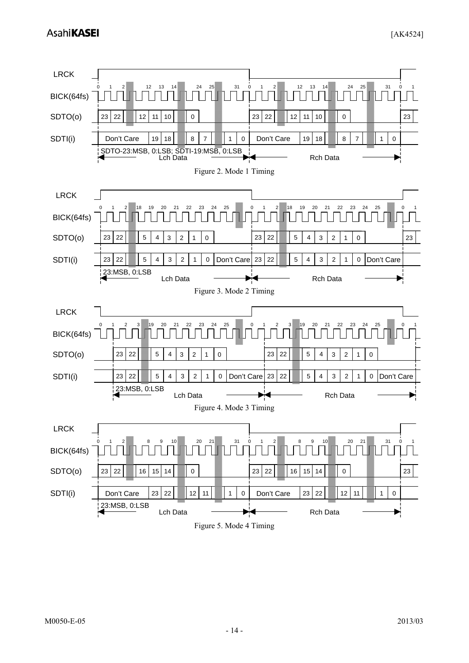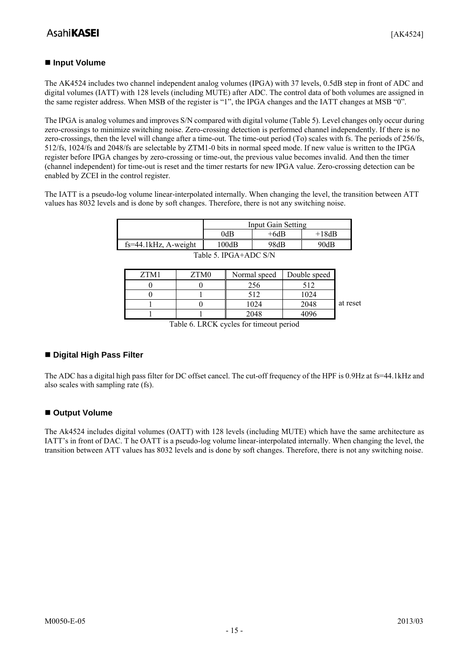# **Input Volume**

The AK4524 includes two channel independent analog volumes (IPGA) with 37 levels, 0.5dB step in front of ADC and digital volumes (IATT) with 128 levels (including MUTE) after ADC. The control data of both volumes are assigned in the same register address. When MSB of the register is "1", the IPGA changes and the IATT changes at MSB "0".

The IPGA is analog volumes and improves S/N compared with digital volume (Table 5). Level changes only occur during zero-crossings to minimize switching noise. Zero-crossing detection is performed channel independently. If there is no zero-crossings, then the level will change after a time-out. The time-out period (To) scales with fs. The periods of 256/fs, 512/fs, 1024/fs and 2048/fs are selectable by ZTM1-0 bits in normal speed mode. If new value is written to the IPGA register before IPGA changes by zero-crossing or time-out, the previous value becomes invalid. And then the timer (channel independent) for time-out is reset and the timer restarts for new IPGA value. Zero-crossing detection can be enabled by ZCEI in the control register.

The IATT is a pseudo-log volume linear-interpolated internally. When changing the level, the transition between ATT values has 8032 levels and is done by soft changes. Therefore, there is not any switching noise.

|                                                             | Input Gain Setting |  |  |  |  |  |  |
|-------------------------------------------------------------|--------------------|--|--|--|--|--|--|
| 0dB<br>$+18dB$<br>$+6dB$                                    |                    |  |  |  |  |  |  |
| $fs=44.1kHz$ , A-weight<br>98dB<br>$100\mathrm{dB}$<br>90dB |                    |  |  |  |  |  |  |
| Table 5. IPGA+ADC S/N                                       |                    |  |  |  |  |  |  |

| ZTM1 | ZTM0 | Normal speed | Double speed |          |
|------|------|--------------|--------------|----------|
|      |      | 256          | 512          |          |
|      |      | 512          | 1024         |          |
|      |      | 1024         | 2048         | at reset |
|      |      | 2048         |              |          |

Table 6. LRCK cycles for timeout period

## **Digital High Pass Filter**

The ADC has a digital high pass filter for DC offset cancel. The cut-off frequency of the HPF is 0.9Hz at fs=44.1kHz and also scales with sampling rate (fs).

## ■ Output Volume

The Ak4524 includes digital volumes (OATT) with 128 levels (including MUTE) which have the same architecture as IATT's in front of DAC. T he OATT is a pseudo-log volume linear-interpolated internally. When changing the level, the transition between ATT values has 8032 levels and is done by soft changes. Therefore, there is not any switching noise.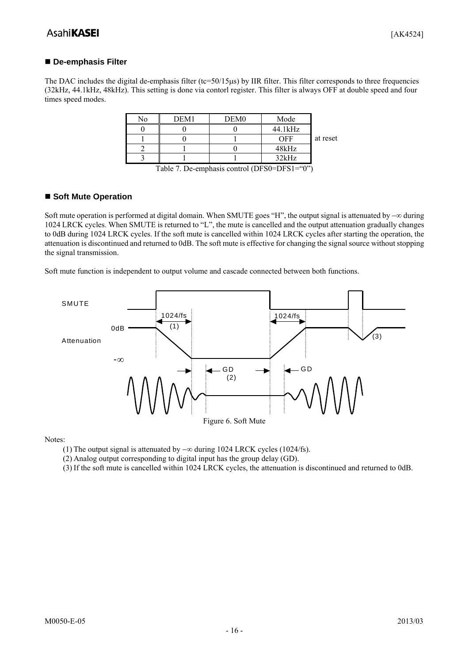#### **De-emphasis Filter**

The DAC includes the digital de-emphasis filter (tc=50/15μs) by IIR filter. This filter corresponds to three frequencies (32kHz, 44.1kHz, 48kHz). This setting is done via contorl register. This filter is always OFF at double speed and four times speed modes.

|  | DEM <sub>0</sub> | Mode    |          |
|--|------------------|---------|----------|
|  |                  | 44.1kHz |          |
|  |                  | OFF     | at reset |
|  |                  | 48kHz   |          |
|  |                  | 32kHz   |          |

Table 7. De-emphasis control (DFS0=DFS1="0")

#### ■ Soft Mute Operation

Soft mute operation is performed at digital domain. When SMUTE goes "H", the output signal is attenuated by  $-\infty$  during 1024 LRCK cycles. When SMUTE is returned to "L", the mute is cancelled and the output attenuation gradually changes to 0dB during 1024 LRCK cycles. If the soft mute is cancelled within 1024 LRCK cycles after starting the operation, the attenuation is discontinued and returned to 0dB. The soft mute is effective for changing the signal source without stopping the signal transmission.

Soft mute function is independent to output volume and cascade connected between both functions.

![](_page_15_Figure_9.jpeg)

#### Notes:

- (1) The output signal is attenuated by −∞ during 1024 LRCK cycles (1024/fs).
- (2) Analog output corresponding to digital input has the group delay (GD).
- (3) If the soft mute is cancelled within 1024 LRCK cycles, the attenuation is discontinued and returned to 0dB.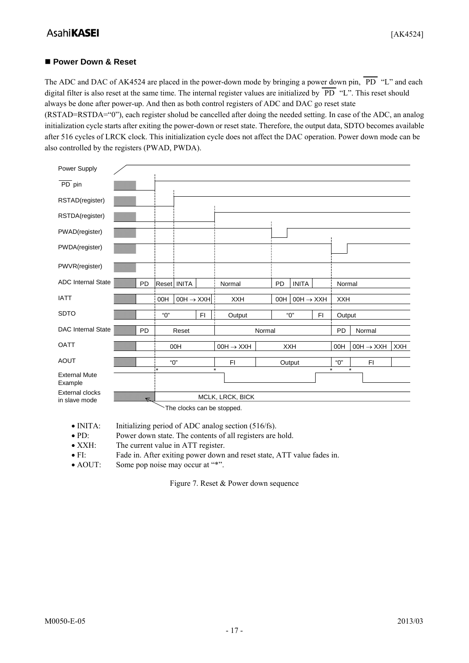# **AsahiKASEI**

#### **Power Down & Reset**

The ADC and DAC of AK4524 are placed in the power-down mode by bringing a power down pin,  $\overline{PD}$  "L" and each digital filter is also reset at the same time. The internal register values are initialized by  $\overline{PD}$  "L". This reset should always be done after power-up. And then as both control registers of ADC and DAC go reset state

(RSTAD=RSTDA="0"), each register sholud be cancelled after doing the needed setting. In case of the ADC, an analog initialization cycle starts after exiting the power-down or reset state. Therefore, the output data, SDTO becomes available after 516 cycles of LRCK clock. This initialization cycle does not affect the DAC operation. Power down mode can be also controlled by the registers (PWAD, PWDA).

| Power Supply                            |            |     |                       |     |                            |        |     |                       |    |            |                                                   |            |
|-----------------------------------------|------------|-----|-----------------------|-----|----------------------------|--------|-----|-----------------------|----|------------|---------------------------------------------------|------------|
| $\overline{PD}$ pin                     |            |     |                       |     |                            |        |     |                       |    |            |                                                   |            |
| RSTAD(register)                         |            |     |                       |     |                            |        |     |                       |    |            |                                                   |            |
| RSTDA(register)                         |            |     |                       |     |                            |        |     |                       |    |            |                                                   |            |
| PWAD(register)                          |            |     |                       |     |                            |        |     |                       |    |            |                                                   |            |
| PWDA(register)                          |            |     |                       |     |                            |        |     |                       |    |            |                                                   |            |
| PWVR(register)                          |            |     |                       |     |                            |        |     |                       |    |            |                                                   |            |
| <b>ADC Internal State</b>               | PD         |     | Reset INITA           |     | Normal                     |        | PD  | <b>INITA</b>          |    | Normal     |                                                   |            |
| <b>IATT</b>                             |            | 00H | $00H \rightarrow XXH$ |     | <b>XXH</b>                 |        | 00H | $00H \rightarrow XXH$ |    | <b>XXH</b> |                                                   |            |
| <b>SDTO</b>                             |            | "O" |                       | FI. | Output                     |        |     | "በ"                   | F1 | Output     |                                                   |            |
| DAC Internal State                      | <b>PD</b>  |     | Reset                 |     |                            | Normal |     |                       |    | PD         | Normal                                            |            |
| <b>OATT</b>                             |            |     | 00H                   |     | $00H \rightarrow XXH$      |        |     | <b>XXH</b>            |    | 00H        | $00\mathsf{H} \to \mathsf{X}\mathsf{X}\mathsf{H}$ | <b>XXH</b> |
| <b>AOUT</b>                             |            | "0" |                       |     | FI.                        |        |     | Output                |    | "О"        | FI                                                |            |
| <b>External Mute</b><br>Example         |            | ¦∗  |                       |     | $\star$                    |        |     |                       |    | $\star$    | $\star$                                           |            |
| <b>External clocks</b><br>in slave mode | <u>man</u> |     |                       |     | MCLK, LRCK, BICK           |        |     |                       |    |            |                                                   |            |
|                                         |            |     |                       |     | The clocks can be stopped. |        |     |                       |    |            |                                                   |            |

• INITA: Initializing period of ADC analog section (516/fs).

• PD: Power down state. The contents of all registers are hold.

• XXH: The current value in ATT register.

• FI: Fade in. After exiting power down and reset state, ATT value fades in.

• AOUT: Some pop noise may occur at "\*".

Figure 7. Reset & Power down sequence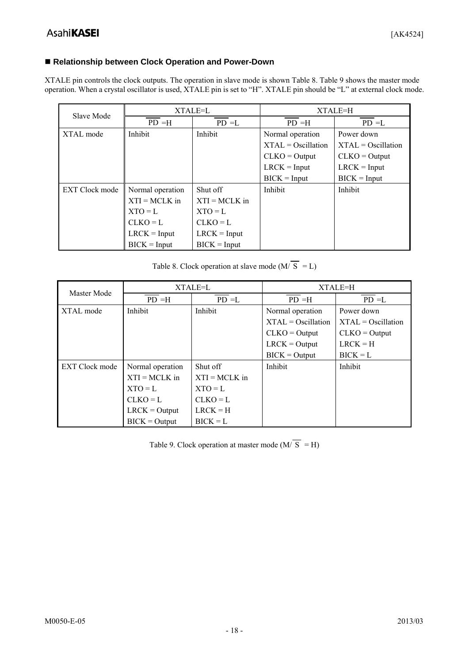## **Relationship between Clock Operation and Power-Down**

XTALE pin controls the clock outputs. The operation in slave mode is shown Table 8. Table 9 shows the master mode operation. When a crystal oscillator is used, XTALE pin is set to "H". XTALE pin should be "L" at external clock mode.

| Slave Mode            |                  | $XTALE=LL$      | XTALE=H              |                      |  |
|-----------------------|------------------|-----------------|----------------------|----------------------|--|
|                       | $PD = H$         | $PD = L$        | $PD = H$             | $PD = L$             |  |
| XTAL mode             | Inhibit          | Inhibit         | Normal operation     | Power down           |  |
|                       |                  |                 | $XTAL = Oscillation$ | $XTAL = Oscillation$ |  |
|                       |                  |                 | $CLKO = Output$      | $CLKO = Output$      |  |
|                       |                  |                 | $LRCK = Input$       | $LRCK = Input$       |  |
|                       |                  |                 | $BICK = Input$       | $BICK = Input$       |  |
| <b>EXT Clock mode</b> | Normal operation | Shut off        | Inhibit              | Inhibit              |  |
|                       | $XTI = MCLK$ in  | $XTI = MCLK$ in |                      |                      |  |
|                       | $XTO = L$        | $XTO = L$       |                      |                      |  |
|                       | $CLKO = L$       | $CLKO = L$      |                      |                      |  |
|                       | $LRCK = Input$   | $LRCK = Input$  |                      |                      |  |
|                       | $BICK = Input$   | $BICK = Input$  |                      |                      |  |

Table 8. Clock operation at slave mode  $(M/\overline{S} = L)$ 

| Master Mode           |                  | $XTALE=LL$      |                      | XTALE=H              |  |
|-----------------------|------------------|-----------------|----------------------|----------------------|--|
|                       | $PD = H$         | $PD = L$        | $PD = H$             | $PD = L$             |  |
| XTAL mode             | Inhibit          | Inhibit         | Normal operation     | Power down           |  |
|                       |                  |                 | $XTAL = Oscillation$ | $XTAL = Oscillation$ |  |
|                       |                  |                 | $CLKO = Output$      | $CLKO = Output$      |  |
|                       |                  |                 | $LRCK = Output$      | $LRCK = H$           |  |
|                       |                  |                 | $BICK = Output$      | $BICK = L$           |  |
| <b>EXT Clock mode</b> | Normal operation | Shut off        | Inhibit              | Inhibit              |  |
|                       | $XTI = MCLK$ in  | $XTI = MCLK$ in |                      |                      |  |
|                       | $XTO = L$        | $XTO = L$       |                      |                      |  |
|                       | $CLKO = L$       | $CLKO = L$      |                      |                      |  |
|                       | $LRCK = Output$  | $LRCK = H$      |                      |                      |  |
|                       | $BICK = Output$  | $BICK = L$      |                      |                      |  |

Table 9. Clock operation at master mode  $(M/\overline{S} = H)$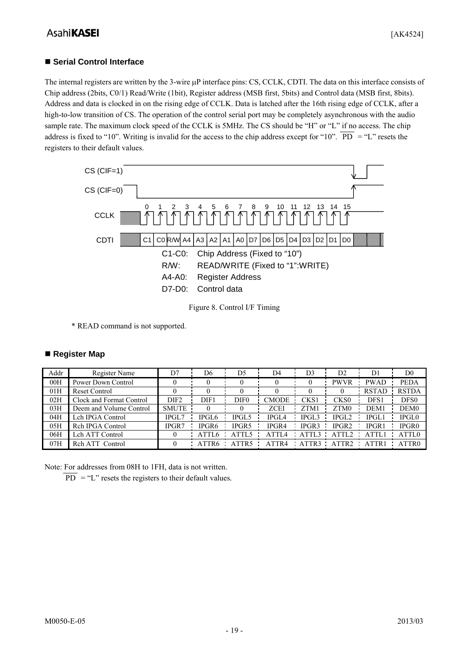## ■ Serial Control Interface

The internal registers are written by the 3-wire μP interface pins: CS, CCLK, CDTI. The data on this interface consists of Chip address (2bits, C0/1) Read/Write (1bit), Register address (MSB first, 5bits) and Control data (MSB first, 8bits). Address and data is clocked in on the rising edge of CCLK. Data is latched after the 16th rising edge of CCLK, after a high-to-low transition of CS. The operation of the control serial port may be completely asynchronous with the audio sample rate. The maximum clock speed of the CCLK is 5MHz. The CS should be "H" or "L" if no access. The chip address is fixed to "10". Writing is invalid for the access to the chip address except for "10".  $\overline{PD}$  = "L" resets the registers to their default values.

![](_page_18_Figure_4.jpeg)

Figure 8. Control I/F Timing

\* READ command is not supported.

#### **Register Map**

| Addr | Register Name            | D7           | D6    | D5    | D <sub>4</sub> | D3                | D <sub>2</sub>    | D1               | D <sub>0</sub>   |
|------|--------------------------|--------------|-------|-------|----------------|-------------------|-------------------|------------------|------------------|
| 00H  | Power Down Control       |              |       |       |                | $\theta$          | <b>PWVR</b>       | <b>PWAD</b>      | <b>PEDA</b>      |
| 01H  | <b>Reset Control</b>     |              |       |       |                |                   |                   | <b>RSTAD</b>     | <b>RSTDA</b>     |
| 02H  | Clock and Format Control | DIF2         | DIF1  | DIF0  | <b>CMODE</b>   | CKS1              | CKS <sub>0</sub>  | DFS1             | DFS <sub>0</sub> |
| 03H  | Deem and Volume Control  | <b>SMUTE</b> |       |       | ZCEI           | ZTM1              | ZTM0              | DEM <sub>1</sub> | DEM0             |
| 04H  | Leh IPGA Control         | IPGL7        | IPGL6 | IPGL5 | IPGL4          | IPGL3             | IPGL2             | IPGL1            | <b>IPGL0</b>     |
| 05H  | Rch IPGA Control         | IPGR7        | IPGR6 | IPGR5 | IPGR4          | IPGR <sub>3</sub> | IPGR <sub>2</sub> | IPGR1            | IPGR0            |
| 06H  | Leh ATT Control          |              | ATTL6 | ATTL5 | ATTI 4         | ATTL3             | ATTL2             | ATTL1            | ATTL0            |
| 07H  | Rch ATT Control          |              | ATTR6 | ATTR5 | ATTR4          | ATTR3             | ATTR2             | ATTR1            | ATTR0            |

Note: For addresses from 08H to 1FH, data is not written.

 $\overline{PD}$  = "L" resets the registers to their default values.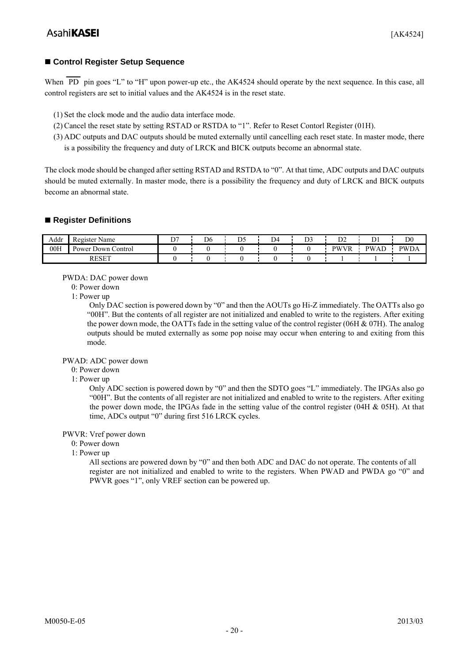### ■ Control Register Setup Sequence

When  $\overline{PD}$  pin goes "L" to "H" upon power-up etc., the AK4524 should operate by the next sequence. In this case, all control registers are set to initial values and the AK4524 is in the reset state.

- (1) Set the clock mode and the audio data interface mode.
- (2) Cancel the reset state by setting RSTAD or RSTDA to "1". Refer to Reset Contorl Register (01H).
- (3) ADC outputs and DAC outputs should be muted externally until cancelling each reset state. In master mode, there is a possibility the frequency and duty of LRCK and BICK outputs become an abnormal state.

The clock mode should be changed after setting RSTAD and RSTDA to "0". At that time, ADC outputs and DAC outputs should be muted externally. In master mode, there is a possibility the frequency and duty of LRCK and BICK outputs become an abnormal state.

#### ■ Register Definitions

| Addr | . .<br>Register Name                   | $\sim$ $\sim$ | D <sub>6</sub> | $\mathbf{r}$<br>້ີ່ | $\overline{\phantom{a}}$<br>DΔ | $\mathbf{r}$<br>υJ | $\mathbf{D}$<br>₽           | $\overline{\phantom{a}}$<br><u>.</u> | D <sub>0</sub> |
|------|----------------------------------------|---------------|----------------|---------------------|--------------------------------|--------------------|-----------------------------|--------------------------------------|----------------|
| 00H  | $\sqrt{ }$<br>Down<br>Control<br>Power |               |                |                     |                                |                    | <b>PWVR</b><br>$\mathbf{r}$ | PW.<br>ΑL                            | <b>PWDA</b>    |
|      | <b>DECET</b><br>KESE                   |               |                |                     |                                |                    |                             |                                      |                |

#### PWDA: DAC power down

0: Power down

1: Power up

 Only DAC section is powered down by "0" and then the AOUTs go Hi-Z immediately. The OATTs also go "00H". But the contents of all register are not initialized and enabled to write to the registers. After exiting the power down mode, the OATTs fade in the setting value of the control register (06H  $& 07H$ ). The analog outputs should be muted externally as some pop noise may occur when entering to and exiting from this mode.

PWAD: ADC power down

0: Power down

#### 1: Power up

 Only ADC section is powered down by "0" and then the SDTO goes "L" immediately. The IPGAs also go "00H". But the contents of all register are not initialized and enabled to write to the registers. After exiting the power down mode, the IPGAs fade in the setting value of the control register (04H & 05H). At that time, ADCs output "0" during first 516 LRCK cycles.

#### PWVR: Vref power down

- 0: Power down
- 1: Power up

 All sections are powered down by "0" and then both ADC and DAC do not operate. The contents of all register are not initialized and enabled to write to the registers. When PWAD and PWDA go "0" and PWVR goes "1", only VREF section can be powered up.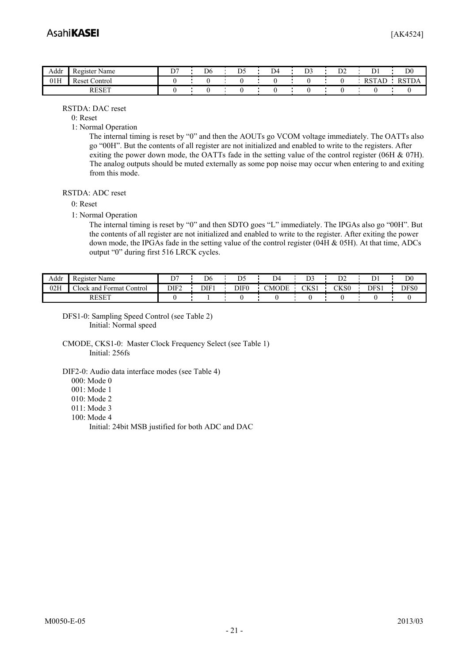| Addr | Register Name                | $\sim$ $\sim$ | D <sub>6</sub> | ້. | 04. | ້ | ◡ | ৴                     | D <sub>0</sub> |
|------|------------------------------|---------------|----------------|----|-----|---|---|-----------------------|----------------|
| 01H  | Reset C<br>$\sim$<br>Control |               |                |    |     |   |   | DCTA<br>D<br>ĸэ<br>AD | RSTD.<br>∙ DA  |
|      | DECET                        |               |                |    |     |   |   |                       |                |

#### RSTDA: DAC reset

0: Reset

1: Normal Operation

 The internal timing is reset by "0" and then the AOUTs go VCOM voltage immediately. The OATTs also go "00H". But the contents of all register are not initialized and enabled to write to the registers. After exiting the power down mode, the OATTs fade in the setting value of the control register (06H & 07H). The analog outputs should be muted externally as some pop noise may occur when entering to and exiting from this mode.

#### RSTDA: ADC reset

0: Reset

1: Normal Operation

 The internal timing is reset by "0" and then SDTO goes "L" immediately. The IPGAs also go "00H". But the contents of all register are not initialized and enabled to write to the register. After exiting the power down mode, the IPGAs fade in the setting value of the control register (04H & 05H). At that time, ADCs output "0" during first 516 LRCK cycles.

| Addr          | Register Name                                         |      | D6               | ້         | $\sim$<br>ы<br>৴ | $\sim$<br>້   | $\mathbf{r}$<br>ມ∠ |                              | D <sub>0</sub>   |
|---------------|-------------------------------------------------------|------|------------------|-----------|------------------|---------------|--------------------|------------------------------|------------------|
| 02H           | $\sim$<br>$\sim$<br>Control<br>and<br>∗ormat<br>Clock | DIF2 | DIF <sub>1</sub> | DIF0<br>ு | CMODE<br>$\sim$  | CVE1<br>UN DI | CKS0               | DES <sub>1</sub><br>◡<br>ັບ⊥ | DFS <sub>0</sub> |
| DECET<br>NUUL |                                                       |      |                  |           |                  |               |                    |                              |                  |

 DFS1-0: Sampling Speed Control (see Table 2) Initial: Normal speed

 CMODE, CKS1-0: Master Clock Frequency Select (see Table 1) Initial: 256fs

DIF2-0: Audio data interface modes (see Table 4)

000: Mode 0

001: Mode 1

010: Mode 2

011: Mode 3

100: Mode 4

Initial: 24bit MSB justified for both ADC and DAC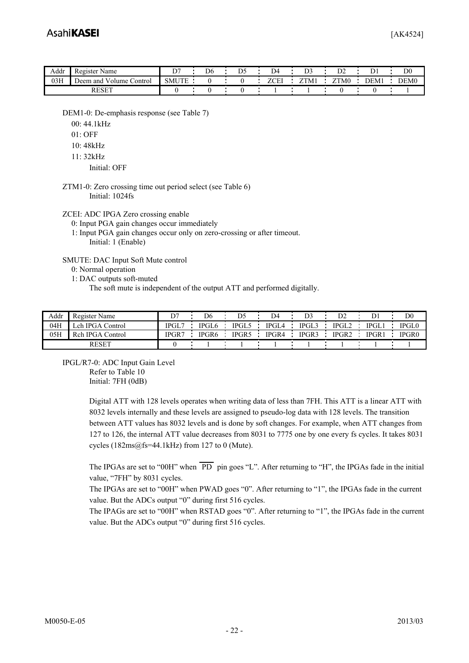| Addr                               | Register Name                             | ◡            | D6 | ້ | $\sqrt{ }$<br>ມ∽                 | DJ.  | D٦<br>₽∠ | ໋    | D <sub>0</sub> |
|------------------------------------|-------------------------------------------|--------------|----|---|----------------------------------|------|----------|------|----------------|
| 03H                                | $T$ $T$ $T$<br>Volume Control<br>Deem and | <b>SMUTE</b> |    |   | $\sim$ $\sim$ $\sim$ $\sim$<br>⊷ | ZTM1 | ZTM0     | DEM1 | DEM0           |
| <b>DECEP</b><br>◟⊢<br><b>INDUL</b> |                                           |              |    |   |                                  |      |          |      |                |

DEM1-0: De-emphasis response (see Table 7)

00: 44.1kHz

01: OFF

10: 48kHz

11: 32kHz

Initial: OFF

 ZTM1-0: Zero crossing time out period select (see Table 6) Initial: 1024fs

ZCEI: ADC IPGA Zero crossing enable

0: Input PGA gain changes occur immediately

 1: Input PGA gain changes occur only on zero-crossing or after timeout. Initial: 1 (Enable)

SMUTE: DAC Input Soft Mute control

0: Normal operation

1: DAC outputs soft-muted

The soft mute is independent of the output ATT and performed digitally.

| Addr | Register Name    |             | DΘ           |       | D4     | D3    | n′    |                  | D0    |
|------|------------------|-------------|--------------|-------|--------|-------|-------|------------------|-------|
| 04H  | Leh IPGA Control | <b>IPGL</b> | <b>IPGL6</b> | IPGL5 | IPGL 4 | 'PGL. | IPGL2 | PGL <sub>1</sub> | IPGL0 |
| 05H  | Rch IPGA Control | IPGR7       | PGR6         | IPGR5 | IPGR4  | IPGR3 | IPGR2 | IPGR1            | IPGR0 |
|      | RESET            |             |              |       |        |       |       |                  |       |

 IPGL/R7-0: ADC Input Gain Level Refer to Table 10 Initial: 7FH (0dB)

> Digital ATT with 128 levels operates when writing data of less than 7FH. This ATT is a linear ATT with 8032 levels internally and these levels are assigned to pseudo-log data with 128 levels. The transition between ATT values has 8032 levels and is done by soft changes. For example, when ATT changes from 127 to 126, the internal ATT value decreases from 8031 to 7775 one by one every fs cycles. It takes 8031 cycles  $(182 \text{ms} \textcirc@ f\text{s} = 44.1 \text{kHz})$  from 127 to 0 (Mute).

> The IPGAs are set to "00H" when  $\overline{PD}$  pin goes "L". After returning to "H", the IPGAs fade in the initial value, "7FH" by 8031 cycles.

> The IPGAs are set to "00H" when PWAD goes "0". After returning to "1", the IPGAs fade in the current value. But the ADCs output "0" during first 516 cycles.

> The IPAGs are set to "00H" when RSTAD goes "0". After returning to "1", the IPGAs fade in the current value. But the ADCs output "0" during first 516 cycles.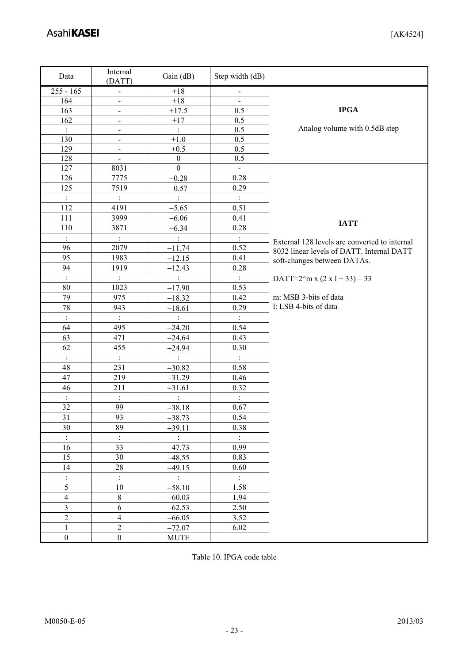| Data                    | Internal<br>(DATT)         | Gain (dB)               | Step width (dB)             |                                                    |
|-------------------------|----------------------------|-------------------------|-----------------------------|----------------------------------------------------|
| $255 - 165$             | $\overline{\phantom{0}}$   | $+18$                   | $\overline{\phantom{0}}$    |                                                    |
| 164                     | $\frac{1}{2}$              | $+18$                   | $\overline{\phantom{a}}$    |                                                    |
| 163                     | $\blacksquare$             | $+17.5$                 | 0.5                         | <b>IPGA</b>                                        |
| 162                     | $\blacksquare$             | $+17$                   | 0.5                         |                                                    |
| $\ddot{\cdot}$          | $\frac{1}{2}$              |                         | 0.5                         | Analog volume with 0.5dB step                      |
| 130                     | $\overline{\phantom{a}}$   | $+1.0$                  | 0.5                         |                                                    |
| 129                     | $\blacksquare$             | $+0.5$                  | 0.5                         |                                                    |
| 128                     | $\overline{\phantom{0}}$   | $\boldsymbol{0}$        | 0.5                         |                                                    |
| 127                     | 8031                       | $\boldsymbol{0}$        | $\blacksquare$              |                                                    |
| 126                     | 7775                       | $-0.28$                 | 0.28                        |                                                    |
| 125                     | 7519                       | $-0.57$                 | 0.29                        |                                                    |
| $\ddot{\cdot}$          | $\vdots$                   | $\ddot{\cdot}$          | $\ddot{\ddot{\phantom{1}}}$ |                                                    |
| 112                     | 4191                       | $-5.65$                 | 0.51                        |                                                    |
| 111                     | 3999                       | $-6.06$                 | 0.41                        |                                                    |
| 110                     | 3871                       | $-6.34$                 | 0.28                        | <b>IATT</b>                                        |
|                         | $\frac{1}{2}$              |                         |                             | External 128 levels are converted to internal      |
| 96                      | 2079                       | $-11.74$                | 0.52                        | 8032 linear levels of DATT. Internal DATT          |
| 95                      | 1983                       | $-12.15$                | 0.41                        | soft-changes between DATAs.                        |
| 94                      | 1919                       | $-12.43$                | 0.28                        |                                                    |
| $\ddot{\cdot}$          | $\ddot{\ddot{\phantom{}}}$ | $\vdots$                | $\div$                      | DATT=2 $\text{\textdegree{m}}$ x (2 x 1 + 33) – 33 |
| 80                      | 1023                       | $-17.90$                | 0.53                        |                                                    |
| 79                      | 975                        | $-18.32$                | 0.42                        | m: MSB 3-bits of data                              |
| 78                      | 943                        | $-18.61$                | 0.29                        | l: LSB 4-bits of data                              |
| $\overline{\mathbb{R}}$ | $\mathbb{R}$               | $\ddot{\cdot}$          | $\overline{1}$              |                                                    |
| 64                      | 495                        | $-24.20$                | 0.54                        |                                                    |
| 63                      | 471                        | $-24.64$                | 0.43                        |                                                    |
| 62                      | 455                        | $-24.94$                | 0.30                        |                                                    |
| $\ddot{\cdot}$          | $\pm$                      | $\pm$                   | $\ddot{\ddot{\psi}}$        |                                                    |
| 48                      | 231                        | $-30.82$                | 0.58                        |                                                    |
| 47                      | 219                        | $-31.29$                | 0.46                        |                                                    |
| 46                      | 211                        | $-31.61$                | 0.32                        |                                                    |
| $\pm$                   | $\therefore$               | $\pm$                   | $\pm$                       |                                                    |
| 32                      | 99                         | $-38.18$                | 0.67                        |                                                    |
| 31                      | 93                         | $-38.73$                | 0.54                        |                                                    |
| 30                      | 89                         | $-39.11$                | 0.38                        |                                                    |
| $\ddot{\cdot}$          | $\ddot{\cdot}$             | $\ddot{\cdot}$          | $\ddot{\ddot{z}}$           |                                                    |
| $\overline{16}$         | 33                         | $-47.73$                | 0.99                        |                                                    |
| 15                      | $30\,$                     | $-48.55$                | 0.83                        |                                                    |
| 14                      | 28                         | $-49.15$                | 0.60                        |                                                    |
| $\ddot{\cdot}$          | $\vdots$                   | $\langle \cdot \rangle$ | $\mathbb{R}^2$              |                                                    |
| 5                       | $10\,$                     | $-58.10$                | 1.58                        |                                                    |
| $\overline{4}$          | $\,8\,$                    | $-60.03$                | 1.94                        |                                                    |
| $\overline{\mathbf{3}}$ | 6                          | $-62.53$                | 2.50                        |                                                    |
| $\overline{2}$          | $\overline{\mathcal{A}}$   | $-66.05$                | 3.52                        |                                                    |
| $\,1$                   | $\sqrt{2}$                 | $-72.07$                | 6.02                        |                                                    |
| $\boldsymbol{0}$        | $\boldsymbol{0}$           | <b>MUTE</b>             |                             |                                                    |

Table 10. IPGA code table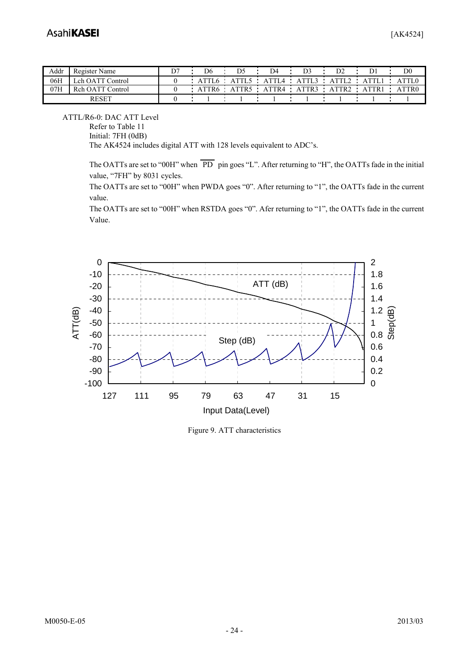| Addr | Register Name                  | D6               | D4.     | D3    | D2    | D1   | D0     |
|------|--------------------------------|------------------|---------|-------|-------|------|--------|
| 06H  | $Lch$ OATT $\Gamma$<br>Control |                  | A TTI 4 |       |       |      | . TTLG |
| 07H  | Reh OATT Control               | $\Delta$<br>l Ko | ATTR4   | ATTR3 | \TTR2 | TTR1 | TTR0   |
|      | <b>RESET</b>                   |                  |         |       |       |      |        |

ATTL/R6-0: DAC ATT Level

Refer to Table 11

Initial: 7FH (0dB)

The AK4524 includes digital ATT with 128 levels equivalent to ADC's.

The OATTs are set to "00H" when  $\overline{PD}$  pin goes "L". After returning to "H", the OATTs fade in the initial value, "7FH" by 8031 cycles.

The OATTs are set to "00H" when PWDA goes "0". After returning to "1", the OATTs fade in the current value.

The OATTs are set to "00H" when RSTDA goes "0". Afer returning to "1", the OATTs fade in the current Value.

![](_page_23_Figure_10.jpeg)

Figure 9. ATT characteristics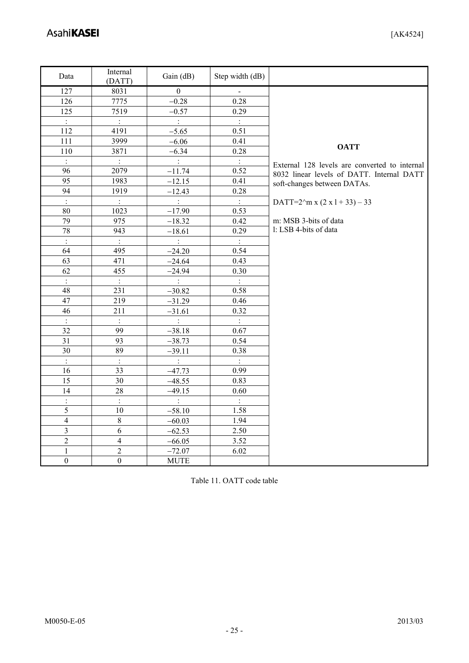| Data                        | Internal<br>(DATT)            | Gain (dB)                     | Step width (dB)             |                                               |
|-----------------------------|-------------------------------|-------------------------------|-----------------------------|-----------------------------------------------|
| 127                         | 8031                          | $\boldsymbol{0}$              |                             |                                               |
| 126                         | 7775                          | $-0.28$                       | 0.28                        |                                               |
| 125                         | 7519                          | $-0.57$                       | 0.29                        |                                               |
| $\ddot{\ddot{\varepsilon}}$ | $\ddot{\ddot{\zeta}}$         | $\div$                        | $\ddot{\ddot{\zeta}}$       |                                               |
| 112                         | 4191                          | $-5.65$                       | 0.51                        |                                               |
| 111                         | 3999                          | $-6.06$                       | 0.41                        |                                               |
| 110                         | 3871                          | $-6.34$                       | 0.28                        | <b>OATT</b>                                   |
| $\ddot{\ddot{\varepsilon}}$ | $\pm$                         | $\mathbb{C}^{\mathbb{Z}}$     | $\frac{1}{2}$               | External 128 levels are converted to internal |
| 96                          | 2079                          | $-11.74$                      | 0.52                        | 8032 linear levels of DATT. Internal DATT     |
| 95                          | 1983                          | $-12.15$                      | 0.41                        | soft-changes between DATAs.                   |
| 94                          | 1919                          | $-12.43$                      | 0.28                        |                                               |
| $\overline{1}$              | $\ddot{\ddot{\phantom{0}}}\,$ | $\div$                        | $\mathbb{C}^2$              | DATT=2 $\text{m x}$ (2 x 1 + 33) – 33         |
| 80                          | 1023                          | $-17.90$                      | 0.53                        |                                               |
| 79                          | 975                           | $-18.32$                      | 0.42                        | m: MSB 3-bits of data                         |
| 78                          | 943                           | $-18.61$                      | 0.29                        | l: LSB 4-bits of data                         |
| $\pm$                       | $\ddot{\ddot{\phantom{1}}}$   | $\div$                        | $\mathbb{R}^2$              |                                               |
| 64                          | 495                           | $-24.20$                      | 0.54                        |                                               |
| 63                          | 471                           | $-24.64$                      | 0.43                        |                                               |
| 62                          | 455                           | $-24.94$                      | 0.30                        |                                               |
| $\ddot{\cdot}$              | $\pm$                         | $\mathbb{R}^2$                | $\pm$                       |                                               |
| 48                          | 231                           | $-30.82$                      | 0.58                        |                                               |
| 47                          | 219                           | $-31.29$                      | 0.46                        |                                               |
| 46                          | 211                           | $-31.61$                      | 0.32                        |                                               |
| $\vdots$                    | $\frac{1}{2}$                 | $\langle \frac{1}{2} \rangle$ | $\pm$                       |                                               |
| 32                          | 99                            | $-38.18$                      | 0.67                        |                                               |
| 31                          | 93                            | $-38.73$                      | 0.54                        |                                               |
| 30                          | 89                            | $-39.11$                      | 0.38                        |                                               |
| $\pm$                       | $\ddot{\cdot}$                | $\div$                        | $\ddot{\ddot{\varepsilon}}$ |                                               |
| 16                          | 33                            | $-47.73$                      | 0.99                        |                                               |
| 15                          | 30                            | $-48.55$                      | 0.83                        |                                               |
| 14                          | 28                            | $-49.15$                      | 0.60                        |                                               |
| $\vdots$                    | $\ddot{\cdot}$                | $\cdot$                       | $\vdots$                    |                                               |
| $\mathfrak s$               | 10                            | $-58.10$                      | 1.58                        |                                               |
| $\overline{\mathcal{L}}$    | 8                             | $-60.03$                      | 1.94                        |                                               |
| $\mathfrak{Z}$              | 6                             | $-62.53$                      | 2.50                        |                                               |
| $\overline{2}$              | $\overline{\mathcal{L}}$      | $-66.05$                      | 3.52                        |                                               |
| $\mathbf{1}$                | $\overline{2}$                | $-72.07$                      | 6.02                        |                                               |
| $\boldsymbol{0}$            | $\boldsymbol{0}$              | <b>MUTE</b>                   |                             |                                               |

Table 11. OATT code table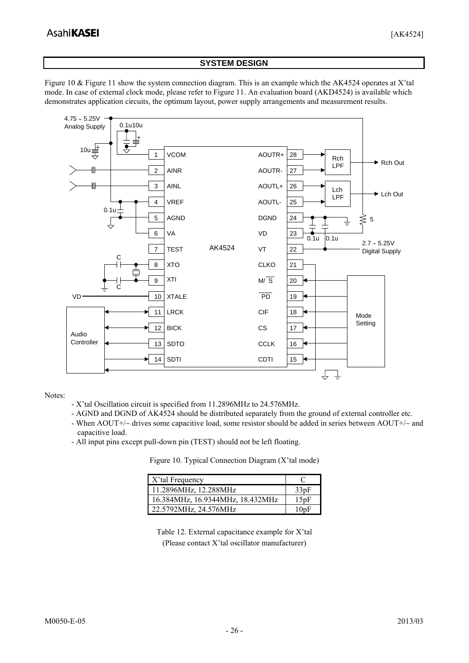#### **SYSTEM DESIGN**

Figure 10 & Figure 11 show the system connection diagram. This is an example which the AK4524 operates at X'tal mode. In case of external clock mode, please refer to Figure 11. An evaluation board (AKD4524) is available which demonstrates application circuits, the optimum layout, power supply arrangements and measurement results.

![](_page_25_Figure_4.jpeg)

Notes:

- X'tal Oscillation circuit is specified from 11.2896MHz to 24.576MHz.
- AGND and DGND of AK4524 should be distributed separately from the ground of external controller etc.
- When AOUT+/− drives some capacitive load, some resistor should be added in series between AOUT+/− and capacitive load.
- All input pins except pull-down pin (TEST) should not be left floating.

Figure 10. Typical Connection Diagram (X'tal mode)

| X'tal Frequency                  |      |
|----------------------------------|------|
| 11.2896MHz, 12.288MHz            | 33pF |
| 16.384MHz, 16.9344MHz, 18.432MHz | 15pF |
| 22.5792MHz, 24.576MHz            | 10pF |

Table 12. External capacitance example for X'tal (Please contact X'tal oscillator manufacturer)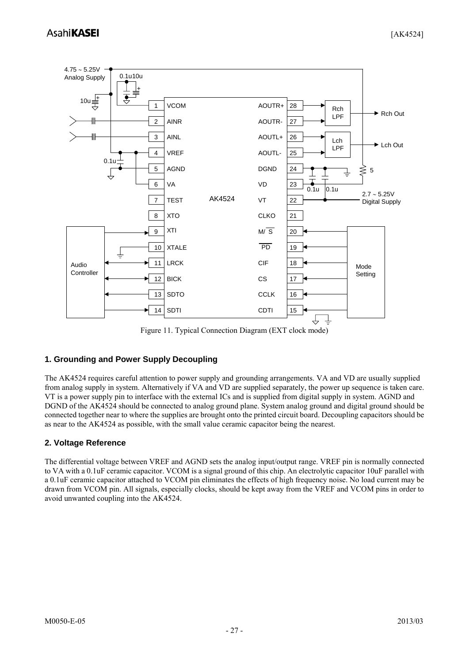![](_page_26_Figure_2.jpeg)

Figure 11. Typical Connection Diagram (EXT clock mode)

## **1. Grounding and Power Supply Decoupling**

The AK4524 requires careful attention to power supply and grounding arrangements. VA and VD are usually supplied from analog supply in system. Alternatively if VA and VD are supplied separately, the power up sequence is taken care. VT is a power supply pin to interface with the external ICs and is supplied from digital supply in system. AGND and DGND of the AK4524 should be connected to analog ground plane. System analog ground and digital ground should be connected together near to where the supplies are brought onto the printed circuit board. Decoupling capacitors should be as near to the AK4524 as possible, with the small value ceramic capacitor being the nearest.

## **2. Voltage Reference**

The differential voltage between VREF and AGND sets the analog input/output range. VREF pin is normally connected to VA with a 0.1uF ceramic capacitor. VCOM is a signal ground of this chip. An electrolytic capacitor 10uF parallel with a 0.1uF ceramic capacitor attached to VCOM pin eliminates the effects of high frequency noise. No load current may be drawn from VCOM pin. All signals, especially clocks, should be kept away from the VREF and VCOM pins in order to avoid unwanted coupling into the AK4524.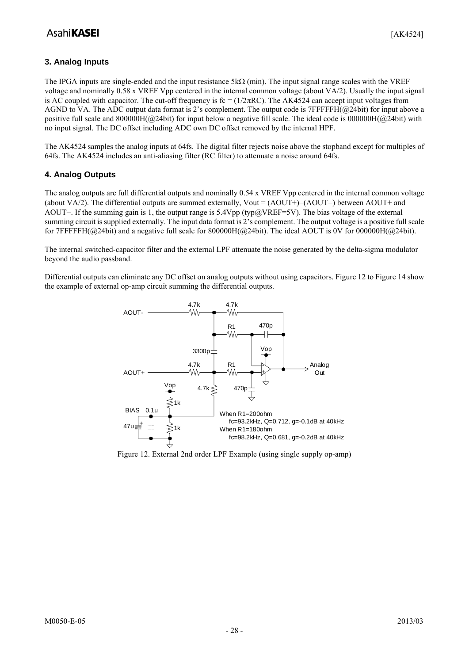## **3. Analog Inputs**

The IPGA inputs are single-ended and the input resistance  $5k\Omega$  (min). The input signal range scales with the VREF voltage and nominally 0.58 x VREF Vpp centered in the internal common voltage (about VA/2). Usually the input signal is AC coupled with capacitor. The cut-off frequency is  $f c = (1/2\pi RC)$ . The AK4524 can accept input voltages from AGND to VA. The ADC output data format is 2's complement. The output code is 7FFFFFH(@24bit) for input above a positive full scale and 800000H( $@24$ bit) for input below a negative fill scale. The ideal code is 000000H( $@24$ bit) with no input signal. The DC offset including ADC own DC offset removed by the internal HPF.

The AK4524 samples the analog inputs at 64fs. The digital filter rejects noise above the stopband except for multiples of 64fs. The AK4524 includes an anti-aliasing filter (RC filter) to attenuate a noise around 64fs.

#### **4. Analog Outputs**

The analog outputs are full differential outputs and nominally 0.54 x VREF Vpp centered in the internal common voltage (about VA/2). The differential outputs are summed externally, Vout = (AOUT+)−(AOUT−) between AOUT+ and AOUT−. If the summing gain is 1, the output range is 5.4Vpp (typ@VREF=5V). The bias voltage of the external summing circuit is supplied externally. The input data format is 2's complement. The output voltage is a positive full scale for 7FFFFFH(@24bit) and a negative full scale for 800000H(@24bit). The ideal AOUT is 0V for 000000H(@24bit).

The internal switched-capacitor filter and the external LPF attenuate the noise generated by the delta-sigma modulator beyond the audio passband.

Differential outputs can eliminate any DC offset on analog outputs without using capacitors. Figure 12 to Figure 14 show the example of external op-amp circuit summing the differential outputs.

![](_page_27_Figure_9.jpeg)

Figure 12. External 2nd order LPF Example (using single supply op-amp)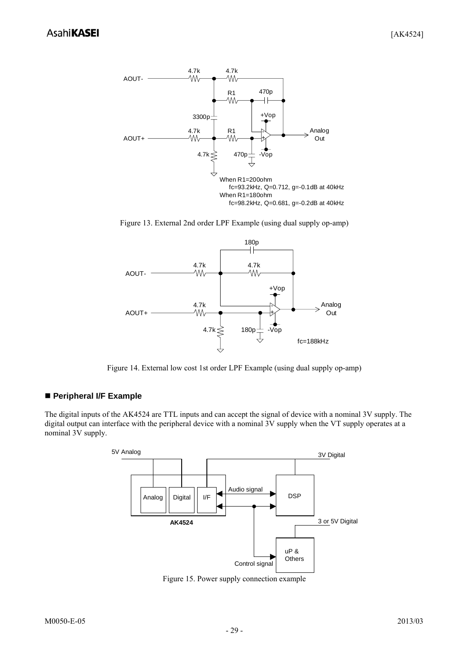![](_page_28_Figure_2.jpeg)

Figure 13. External 2nd order LPF Example (using dual supply op-amp)

![](_page_28_Figure_4.jpeg)

Figure 14. External low cost 1st order LPF Example (using dual supply op-amp)

## **Peripheral I/F Example**

The digital inputs of the AK4524 are TTL inputs and can accept the signal of device with a nominal 3V supply. The digital output can interface with the peripheral device with a nominal 3V supply when the VT supply operates at a nominal 3V supply.

![](_page_28_Figure_8.jpeg)

Figure 15. Power supply connection example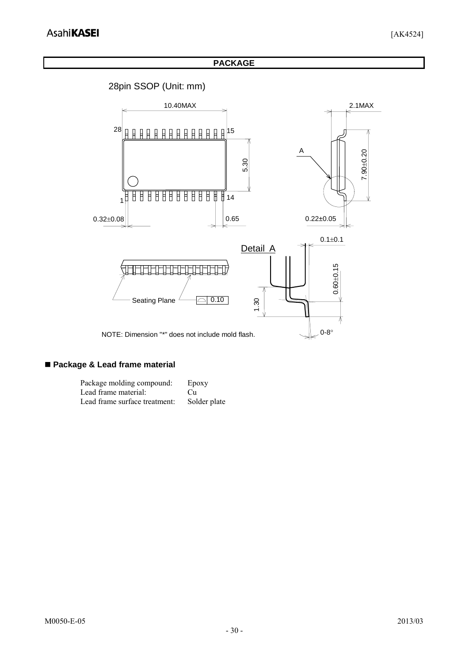#### **PACKAGE**

![](_page_29_Figure_3.jpeg)

## **Package & Lead frame material**

| Package molding compound:     | Epoxy        |
|-------------------------------|--------------|
| Lead frame material:          | Cu           |
| Lead frame surface treatment: | Solder plate |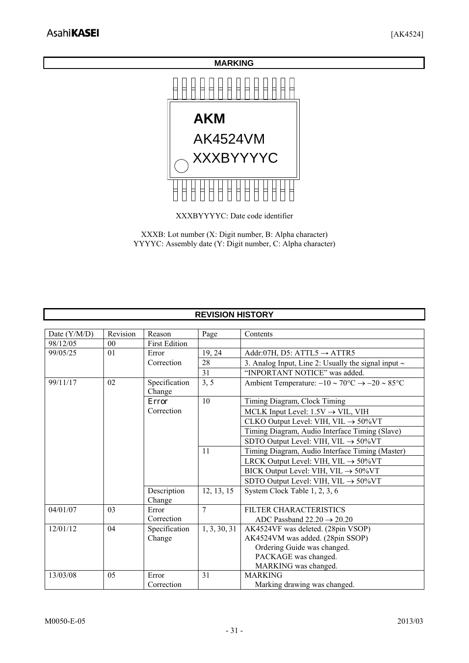![](_page_30_Figure_2.jpeg)

XXXBYYYYC: Date code identifier

XXXB: Lot number (X: Digit number, B: Alpha character) YYYYC: Assembly date (Y: Digit number, C: Alpha character)

|              |                |                         | <b>REVISION HISTORY</b> |                                                                                  |
|--------------|----------------|-------------------------|-------------------------|----------------------------------------------------------------------------------|
|              |                |                         |                         |                                                                                  |
| Date (Y/M/D) | Revision       | Reason                  | Page                    | Contents                                                                         |
| 98/12/05     | 0 <sub>0</sub> | <b>First Edition</b>    |                         |                                                                                  |
| 99/05/25     | 01             | Error                   | 19, 24                  | Addr:07H, D5: ATTL5 $\rightarrow$ ATTR5                                          |
|              |                | Correction              | 28                      | 3. Analog Input, Line 2: Usually the signal input $\sim$                         |
|              |                |                         | 31                      | "INPORTANT NOTICE" was added.                                                    |
| 99/11/17     | 02             | Specification<br>Change | 3, 5                    | Ambient Temperature: $-10 \sim 70^{\circ}$ C $\rightarrow -20 \sim 85^{\circ}$ C |
|              |                | Error                   | 10                      | Timing Diagram, Clock Timing                                                     |
|              |                | Correction              |                         | MCLK Input Level: $1.5V \rightarrow VIL$ , VIH                                   |
|              |                |                         |                         | CLKO Output Level: VIH, VIL $\rightarrow$ 50%VT                                  |
|              |                |                         |                         | Timing Diagram, Audio Interface Timing (Slave)                                   |
|              |                |                         |                         | SDTO Output Level: VIH, VIL $\rightarrow$ 50%VT                                  |
|              |                |                         | 11                      | Timing Diagram, Audio Interface Timing (Master)                                  |
|              |                |                         |                         | LRCK Output Level: VIH, VIL $\rightarrow$ 50%VT                                  |
|              |                |                         |                         | BICK Output Level: VIH, VIL $\rightarrow$ 50%VT                                  |
|              |                |                         |                         | SDTO Output Level: VIH, VIL $\rightarrow$ 50%VT                                  |
|              |                | Description             | 12, 13, 15              | System Clock Table 1, 2, 3, 6                                                    |
|              |                | Change                  |                         |                                                                                  |
| 04/01/07     | 03             | Error                   | $\overline{7}$          | FILTER CHARACTERISTICS                                                           |
|              |                | Correction              |                         | ADC Passband $22.20 \rightarrow 20.20$                                           |
| 12/01/12     | 04             | Specification           | 1, 3, 30, 31            | AK4524VF was deleted. (28pin VSOP)                                               |
|              |                | Change                  |                         | AK4524VM was added. (28pin SSOP)                                                 |
|              |                |                         |                         | Ordering Guide was changed.                                                      |
|              |                |                         |                         | PACKAGE was changed.                                                             |
|              |                |                         |                         | MARKING was changed.                                                             |
| 13/03/08     | 05             | Error                   | 31                      | <b>MARKING</b>                                                                   |
|              |                | Correction              |                         | Marking drawing was changed.                                                     |